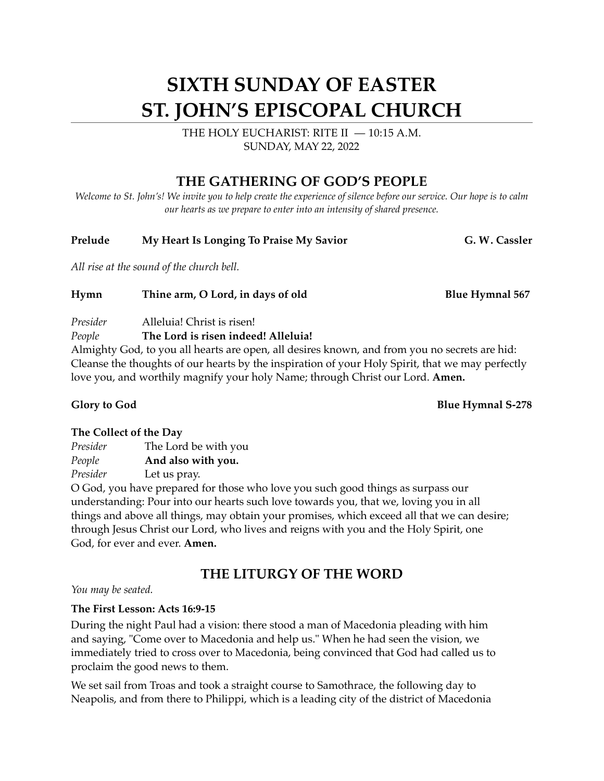# **SIXTH SUNDAY OF EASTER ST. JOHN'S EPISCOPAL CHURCH**

THE HOLY EUCHARIST: RITE II — 10:15 A.M. SUNDAY, MAY 22, 2022

## **THE GATHERING OF GOD'S PEOPLE**

*Welcome to St. John's! We invite you to help create the experience of silence before our service. Our hope is to calm our hearts as we prepare to enter into an intensity of shared presence.*

### Prelude My Heart Is Longing To Praise My Savior G. W. Cassler

*All rise at the sound of the church bell.*

**Hymn** Thine arm, O Lord, in days of old Blue Hymnal 567

#### *Presider* Alleluia! Christ is risen!

### *People* **The Lord is risen indeed! Alleluia!**

Almighty God, to you all hearts are open, all desires known, and from you no secrets are hid: Cleanse the thoughts of our hearts by the inspiration of your Holy Spirit, that we may perfectly love you, and worthily magnify your holy Name; through Christ our Lord. **Amen.** 

**Glory to God** Blue Hymnal S-278

#### **The Collect of the Day**

| Presider | The Lord be with you |
|----------|----------------------|
| People   | And also with you.   |
| Presider | Let us pray.         |

O God, you have prepared for those who love you such good things as surpass our understanding: Pour into our hearts such love towards you, that we, loving you in all things and above all things, may obtain your promises, which exceed all that we can desire; through Jesus Christ our Lord, who lives and reigns with you and the Holy Spirit, one God, for ever and ever. **Amen.**

## **THE LITURGY OF THE WORD**

*You may be seated.* 

### **The First Lesson: Acts 16:9-15**

During the night Paul had a vision: there stood a man of Macedonia pleading with him and saying, "Come over to Macedonia and help us." When he had seen the vision, we immediately tried to cross over to Macedonia, being convinced that God had called us to proclaim the good news to them.

We set sail from Troas and took a straight course to Samothrace, the following day to Neapolis, and from there to Philippi, which is a leading city of the district of Macedonia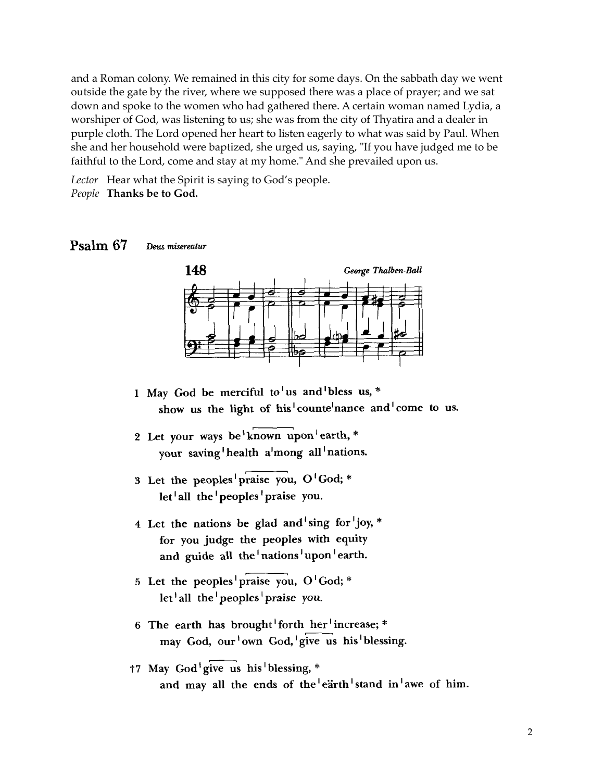and a Roman colony. We remained in this city for some days. On the sabbath day we went outside the gate by the river, where we supposed there was a place of prayer; and we sat down and spoke to the women who had gathered there. A certain woman named Lydia, a worshiper of God, was listening to us; she was from the city of Thyatira and a dealer in purple cloth. The Lord opened her heart to listen eagerly to what was said by Paul. When she and her household were baptized, she urged us, saying, "If you have judged me to be saying." faithful to the Lord, come and stay at my home." And she prevailed upon us.

Lector Hear what the Spirit is saying to God's people. People **Thanks be to God.** 

EASTER 6C PSALM 67





- 1 May God be merciful to us and bless us,  $*$ show us the light of his<sup>1</sup>counte<sup>1</sup>nance and<sup>1</sup>come to us.
- 2 Let your ways be known upon earth,  $*$ your saving health a mong all nations.
- 3 Let the peoples praise you, O'God; \*  $let^{\dagger}$ all the <sup>1</sup>peoples <sup>1</sup>praise you.  $\log_{10}$  May God be merciful to  $\log_{10}$ 
	- 4 Let the nations be glad and sing for joy, \* for you judge the peoples with equity and guide all the  $n = 1 + 1$  nations  $\frac{1}{2}$  upon  $\frac{1}{2}$  earth.
	- your saving <sup>1</sup>health <sup>a</sup> <sup>1</sup> mong all 1 nations.  $\int$ let all the peoples praise you. 5 Let the peoples praise you,  $O<sup>1</sup>God; *$
	- let <sup>1</sup>all the <sup>1</sup>peoples <sup>1</sup>praise you. may God, our 'own God, give us his blessing. 6 The earth has brought forth her increase; \*
	- for you judge the people with equity  $\mathcal{L}$ †7 May God <sup>1</sup>give us his 1blessing, \* and may all the ends of the  $|$ earth stand in awe of him.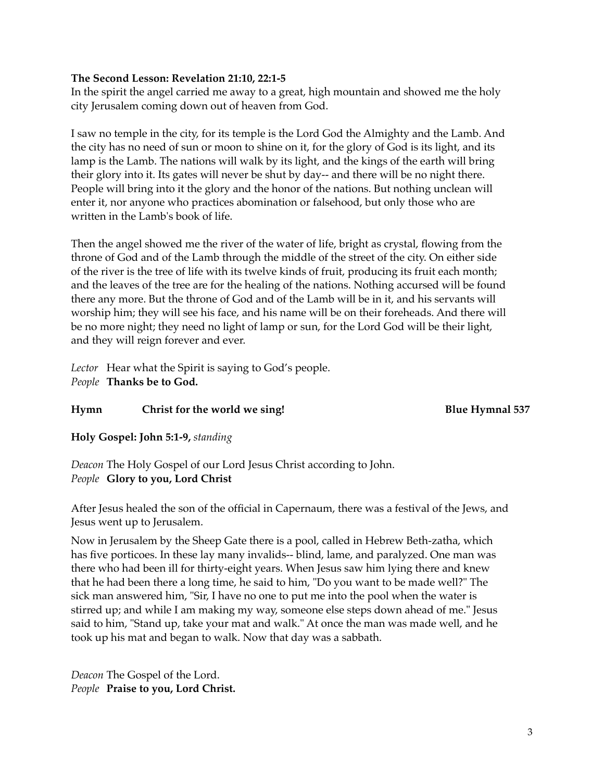#### **The Second Lesson: Revelation 21:10, 22:1-5**

In the spirit the angel carried me away to a great, high mountain and showed me the holy city Jerusalem coming down out of heaven from God.

I saw no temple in the city, for its temple is the Lord God the Almighty and the Lamb. And the city has no need of sun or moon to shine on it, for the glory of God is its light, and its lamp is the Lamb. The nations will walk by its light, and the kings of the earth will bring their glory into it. Its gates will never be shut by day-- and there will be no night there. People will bring into it the glory and the honor of the nations. But nothing unclean will enter it, nor anyone who practices abomination or falsehood, but only those who are written in the Lamb's book of life.

Then the angel showed me the river of the water of life, bright as crystal, flowing from the throne of God and of the Lamb through the middle of the street of the city. On either side of the river is the tree of life with its twelve kinds of fruit, producing its fruit each month; and the leaves of the tree are for the healing of the nations. Nothing accursed will be found there any more. But the throne of God and of the Lamb will be in it, and his servants will worship him; they will see his face, and his name will be on their foreheads. And there will be no more night; they need no light of lamp or sun, for the Lord God will be their light, and they will reign forever and ever.

*Lector* Hear what the Spirit is saying to God's people. *People* **Thanks be to God.** 

#### **Hymn** Christ for the world we sing! The Blue Hymnal 537

**Holy Gospel: John 5:1-9,** *standing*

*Deacon* The Holy Gospel of our Lord Jesus Christ according to John. *People* **Glory to you, Lord Christ**

After Jesus healed the son of the official in Capernaum, there was a festival of the Jews, and Jesus went up to Jerusalem.

Now in Jerusalem by the Sheep Gate there is a pool, called in Hebrew Beth-zatha, which has five porticoes. In these lay many invalids-- blind, lame, and paralyzed. One man was there who had been ill for thirty-eight years. When Jesus saw him lying there and knew that he had been there a long time, he said to him, "Do you want to be made well?" The sick man answered him, "Sir, I have no one to put me into the pool when the water is stirred up; and while I am making my way, someone else steps down ahead of me." Jesus said to him, "Stand up, take your mat and walk." At once the man was made well, and he took up his mat and began to walk. Now that day was a sabbath.

*Deacon* The Gospel of the Lord. *People* **Praise to you, Lord Christ.**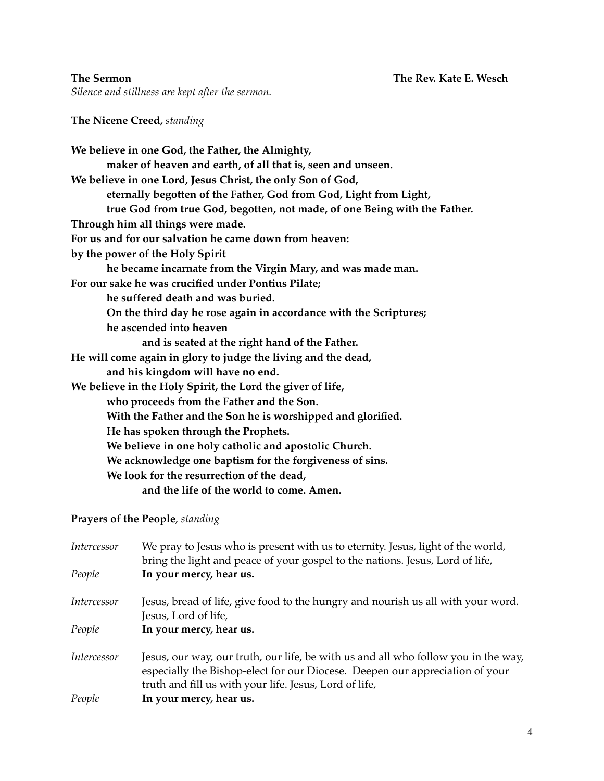*Silence and stillness are kept after the sermon.* 

**The Nicene Creed,** *standing*

### **Prayers of the People**, *standing*

| Intercessor | We pray to Jesus who is present with us to eternity. Jesus, light of the world,<br>bring the light and peace of your gospel to the nations. Jesus, Lord of life,                                                             |  |  |
|-------------|------------------------------------------------------------------------------------------------------------------------------------------------------------------------------------------------------------------------------|--|--|
| People      | In your mercy, hear us.                                                                                                                                                                                                      |  |  |
| Intercessor | Jesus, bread of life, give food to the hungry and nourish us all with your word.<br>Jesus, Lord of life,                                                                                                                     |  |  |
| People      | In your mercy, hear us.                                                                                                                                                                                                      |  |  |
| Intercessor | Jesus, our way, our truth, our life, be with us and all who follow you in the way,<br>especially the Bishop-elect for our Diocese. Deepen our appreciation of your<br>truth and fill us with your life. Jesus, Lord of life, |  |  |
| People      | In your mercy, hear us.                                                                                                                                                                                                      |  |  |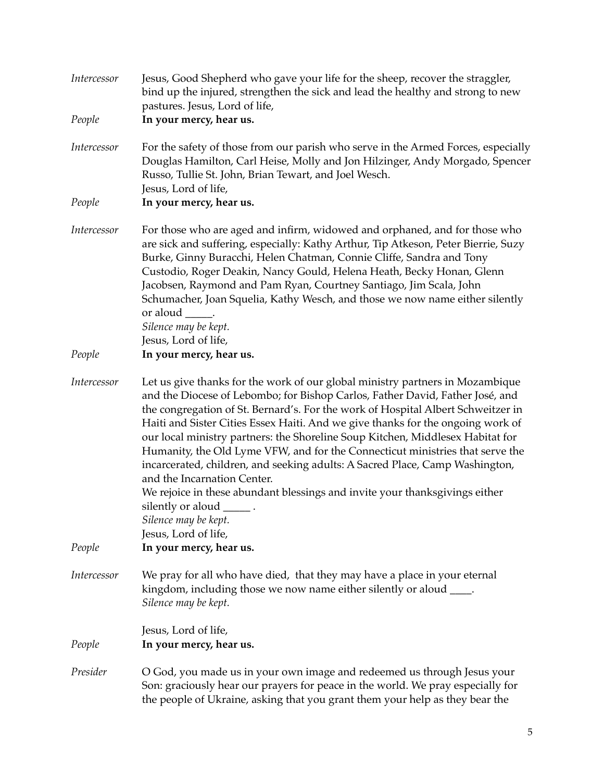| Intercessor | Jesus, Good Shepherd who gave your life for the sheep, recover the straggler,<br>bind up the injured, strengthen the sick and lead the healthy and strong to new<br>pastures. Jesus, Lord of life,                                                                                                                                                                                                                                                                                                                                                                                                                                                                                                                                                                                  |
|-------------|-------------------------------------------------------------------------------------------------------------------------------------------------------------------------------------------------------------------------------------------------------------------------------------------------------------------------------------------------------------------------------------------------------------------------------------------------------------------------------------------------------------------------------------------------------------------------------------------------------------------------------------------------------------------------------------------------------------------------------------------------------------------------------------|
| People      | In your mercy, hear us.                                                                                                                                                                                                                                                                                                                                                                                                                                                                                                                                                                                                                                                                                                                                                             |
| Intercessor | For the safety of those from our parish who serve in the Armed Forces, especially<br>Douglas Hamilton, Carl Heise, Molly and Jon Hilzinger, Andy Morgado, Spencer<br>Russo, Tullie St. John, Brian Tewart, and Joel Wesch.<br>Jesus, Lord of life,                                                                                                                                                                                                                                                                                                                                                                                                                                                                                                                                  |
| People      | In your mercy, hear us.                                                                                                                                                                                                                                                                                                                                                                                                                                                                                                                                                                                                                                                                                                                                                             |
| Intercessor | For those who are aged and infirm, widowed and orphaned, and for those who<br>are sick and suffering, especially: Kathy Arthur, Tip Atkeson, Peter Bierrie, Suzy<br>Burke, Ginny Buracchi, Helen Chatman, Connie Cliffe, Sandra and Tony<br>Custodio, Roger Deakin, Nancy Gould, Helena Heath, Becky Honan, Glenn<br>Jacobsen, Raymond and Pam Ryan, Courtney Santiago, Jim Scala, John<br>Schumacher, Joan Squelia, Kathy Wesch, and those we now name either silently<br>Silence may be kept.<br>Jesus, Lord of life,                                                                                                                                                                                                                                                             |
| People      | In your mercy, hear us.                                                                                                                                                                                                                                                                                                                                                                                                                                                                                                                                                                                                                                                                                                                                                             |
| Intercessor | Let us give thanks for the work of our global ministry partners in Mozambique<br>and the Diocese of Lebombo; for Bishop Carlos, Father David, Father José, and<br>the congregation of St. Bernard's. For the work of Hospital Albert Schweitzer in<br>Haiti and Sister Cities Essex Haiti. And we give thanks for the ongoing work of<br>our local ministry partners: the Shoreline Soup Kitchen, Middlesex Habitat for<br>Humanity, the Old Lyme VFW, and for the Connecticut ministries that serve the<br>incarcerated, children, and seeking adults: A Sacred Place, Camp Washington,<br>and the Incarnation Center.<br>We rejoice in these abundant blessings and invite your thanksgivings either<br>silently or aloud ______.<br>Silence may be kept.<br>Jesus, Lord of life, |
| People      | In your mercy, hear us.                                                                                                                                                                                                                                                                                                                                                                                                                                                                                                                                                                                                                                                                                                                                                             |
| Intercessor | We pray for all who have died, that they may have a place in your eternal<br>kingdom, including those we now name either silently or aloud ____.<br>Silence may be kept.                                                                                                                                                                                                                                                                                                                                                                                                                                                                                                                                                                                                            |
| People      | Jesus, Lord of life,<br>In your mercy, hear us.                                                                                                                                                                                                                                                                                                                                                                                                                                                                                                                                                                                                                                                                                                                                     |
| Presider    | O God, you made us in your own image and redeemed us through Jesus your<br>Son: graciously hear our prayers for peace in the world. We pray especially for<br>the people of Ukraine, asking that you grant them your help as they bear the                                                                                                                                                                                                                                                                                                                                                                                                                                                                                                                                          |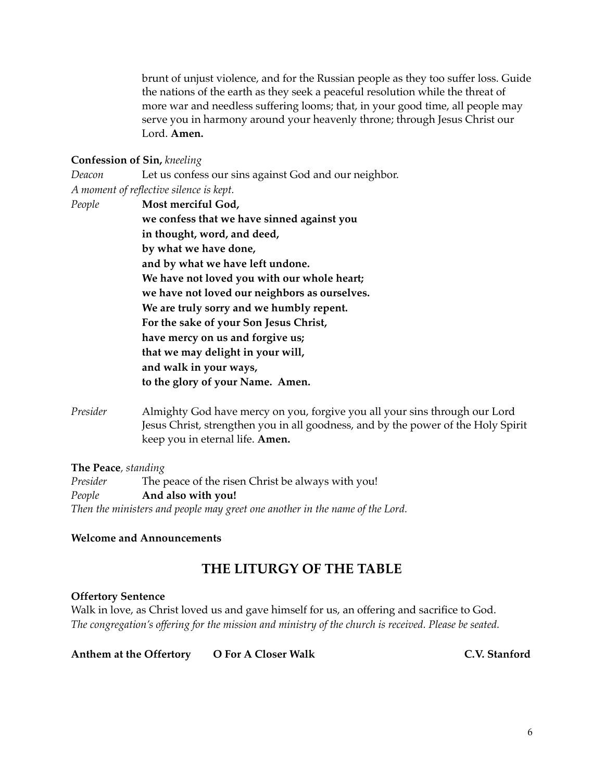brunt of unjust violence, and for the Russian people as they too suffer loss. Guide the nations of the earth as they seek a peaceful resolution while the threat of more war and needless suffering looms; that, in your good time, all people may serve you in harmony around your heavenly throne; through Jesus Christ our Lord. **Amen.**

#### **Confession of Sin,** *kneeling*

*Deacon* Let us confess our sins against God and our neighbor. *A moment of reflective silence is kept. People* **Most merciful God, we confess that we have sinned against you in thought, word, and deed, by what we have done, and by what we have left undone. We have not loved you with our whole heart; we have not loved our neighbors as ourselves. We are truly sorry and we humbly repent. For the sake of your Son Jesus Christ, have mercy on us and forgive us; that we may delight in your will, and walk in your ways, to the glory of your Name. Amen.**

*Presider* Almighty God have mercy on you, forgive you all your sins through our Lord Jesus Christ, strengthen you in all goodness, and by the power of the Holy Spirit keep you in eternal life. **Amen.**

**The Peace***, standing Presider* The peace of the risen Christ be always with you! *People* **And also with you!** *Then the ministers and people may greet one another in the name of the Lord.* 

#### **Welcome and Announcements**

## **THE LITURGY OF THE TABLE**

#### **Offertory Sentence**

Walk in love, as Christ loved us and gave himself for us, an offering and sacrifice to God. *The congregation's offering for the mission and ministry of the church is received. Please be seated.* 

**Anthem at the Offertory O For A Closer Walk C.V. Stanford**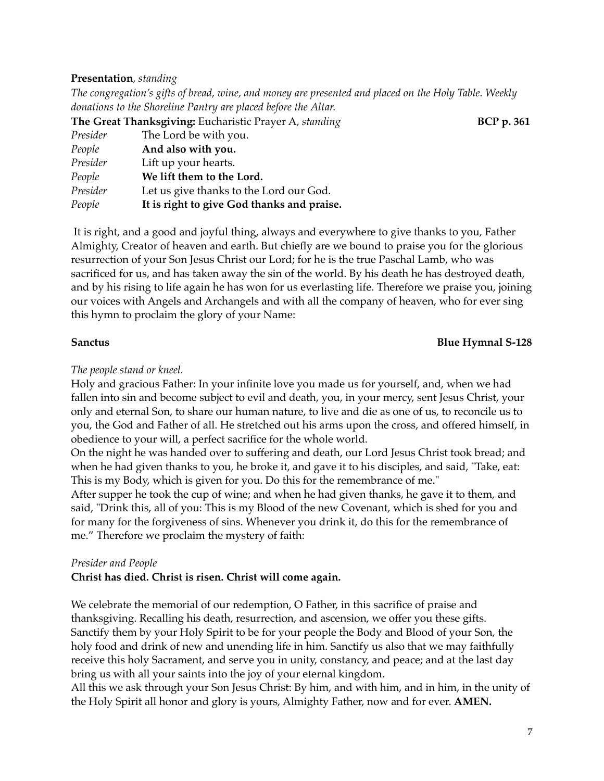#### **Presentation***, standing*

*The congregation's gifts of bread, wine, and money are presented and placed on the Holy Table. Weekly donations to the Shoreline Pantry are placed before the Altar.*

| The Great Thanksgiving: Eucharistic Prayer A, standing |                                            | <b>BCP</b> p. 361 |
|--------------------------------------------------------|--------------------------------------------|-------------------|
| Presider                                               | The Lord be with you.                      |                   |
| People                                                 | And also with you.                         |                   |
| Presider                                               | Lift up your hearts.                       |                   |
| People                                                 | We lift them to the Lord.                  |                   |
| Presider                                               | Let us give thanks to the Lord our God.    |                   |
| People                                                 | It is right to give God thanks and praise. |                   |

It is right, and a good and joyful thing, always and everywhere to give thanks to you, Father Almighty, Creator of heaven and earth. But chiefly are we bound to praise you for the glorious resurrection of your Son Jesus Christ our Lord; for he is the true Paschal Lamb, who was sacrificed for us, and has taken away the sin of the world. By his death he has destroyed death, and by his rising to life again he has won for us everlasting life. Therefore we praise you, joining our voices with Angels and Archangels and with all the company of heaven, who for ever sing this hymn to proclaim the glory of your Name:

#### **Sanctus Blue Hymnal S-128**

#### *The people stand or kneel.*

Holy and gracious Father: In your infinite love you made us for yourself, and, when we had fallen into sin and become subject to evil and death, you, in your mercy, sent Jesus Christ, your only and eternal Son, to share our human nature, to live and die as one of us, to reconcile us to you, the God and Father of all. He stretched out his arms upon the cross, and offered himself, in obedience to your will, a perfect sacrifice for the whole world.

On the night he was handed over to suffering and death, our Lord Jesus Christ took bread; and when he had given thanks to you, he broke it, and gave it to his disciples, and said, "Take, eat: This is my Body, which is given for you. Do this for the remembrance of me."

After supper he took the cup of wine; and when he had given thanks, he gave it to them, and said, "Drink this, all of you: This is my Blood of the new Covenant, which is shed for you and for many for the forgiveness of sins. Whenever you drink it, do this for the remembrance of me." Therefore we proclaim the mystery of faith:

#### *Presider and People*

#### **Christ has died. Christ is risen. Christ will come again.**

We celebrate the memorial of our redemption, O Father, in this sacrifice of praise and thanksgiving. Recalling his death, resurrection, and ascension, we offer you these gifts. Sanctify them by your Holy Spirit to be for your people the Body and Blood of your Son, the holy food and drink of new and unending life in him. Sanctify us also that we may faithfully receive this holy Sacrament, and serve you in unity, constancy, and peace; and at the last day bring us with all your saints into the joy of your eternal kingdom.

All this we ask through your Son Jesus Christ: By him, and with him, and in him, in the unity of the Holy Spirit all honor and glory is yours, Almighty Father, now and for ever. **AMEN.**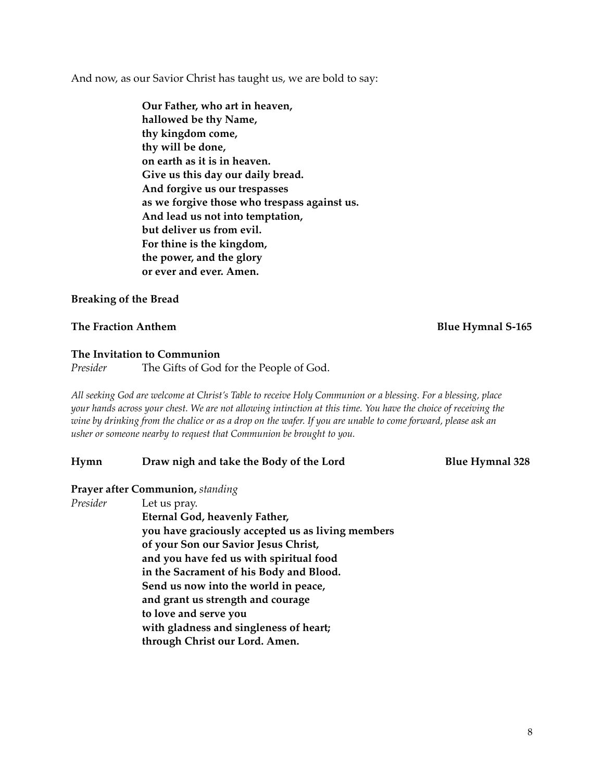And now, as our Savior Christ has taught us, we are bold to say:

**Our Father, who art in heaven, hallowed be thy Name, thy kingdom come, thy will be done, on earth as it is in heaven. Give us this day our daily bread. And forgive us our trespasses as we forgive those who trespass against us. And lead us not into temptation, but deliver us from evil. For thine is the kingdom, the power, and the glory or ever and ever. Amen.** 

#### **Breaking of the Bread**

#### **The Fraction Anthem Blue Hymnal S-165**

#### **The Invitation to Communion**

*Presider* The Gifts of God for the People of God.

*All seeking God are welcome at Christ's Table to receive Holy Communion or a blessing. For a blessing, place your hands across your chest. We are not allowing intinction at this time. You have the choice of receiving the wine by drinking from the chalice or as a drop on the wafer. If you are unable to come forward, please ask an usher or someone nearby to request that Communion be brought to you.* 

#### **Hymn Draw nigh and take the Body of the Lord Blue Hymnal 328**

#### **Prayer after Communion,** *standing*

*Presider* Let us pray.

**Eternal God, heavenly Father, you have graciously accepted us as living members of your Son our Savior Jesus Christ, and you have fed us with spiritual food in the Sacrament of his Body and Blood. Send us now into the world in peace, and grant us strength and courage to love and serve you with gladness and singleness of heart; through Christ our Lord. Amen.**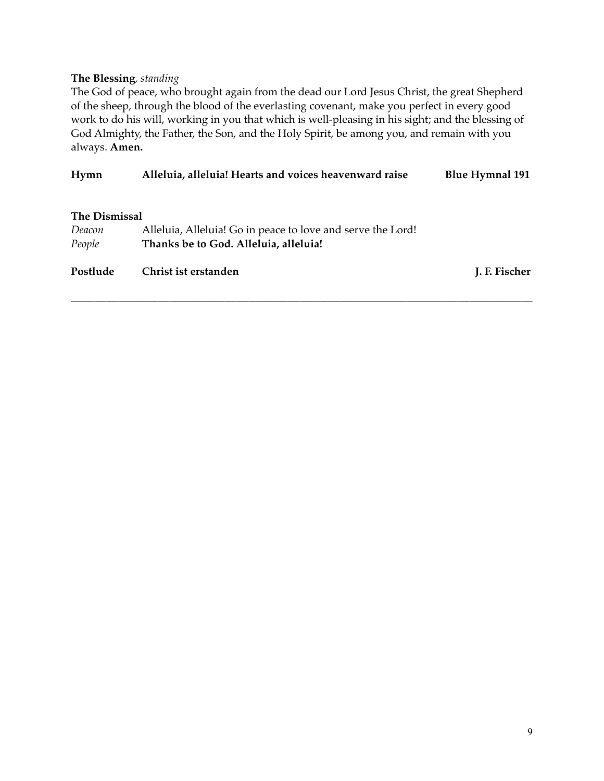#### **The Blessing***, standing*

The God of peace, who brought again from the dead our Lord Jesus Christ, the great Shepherd of the sheep, through the blood of the everlasting covenant, make you perfect in every good work to do his will, working in you that which is well-pleasing in his sight; and the blessing of God Almighty, the Father, the Son, and the Holy Spirit, be among you, and remain with you always. **Amen.**

| Hymn                           | Alleluia, alleluia! Hearts and voices heavenward raise      | <b>Blue Hymnal 191</b> |
|--------------------------------|-------------------------------------------------------------|------------------------|
| <b>The Dismissal</b><br>Deacon | Alleluia, Alleluia! Go in peace to love and serve the Lord! |                        |
| People                         | Thanks be to God. Alleluia, alleluia!                       |                        |
| Postlude                       | Christ ist erstanden                                        | J. F. Fischer          |
|                                |                                                             |                        |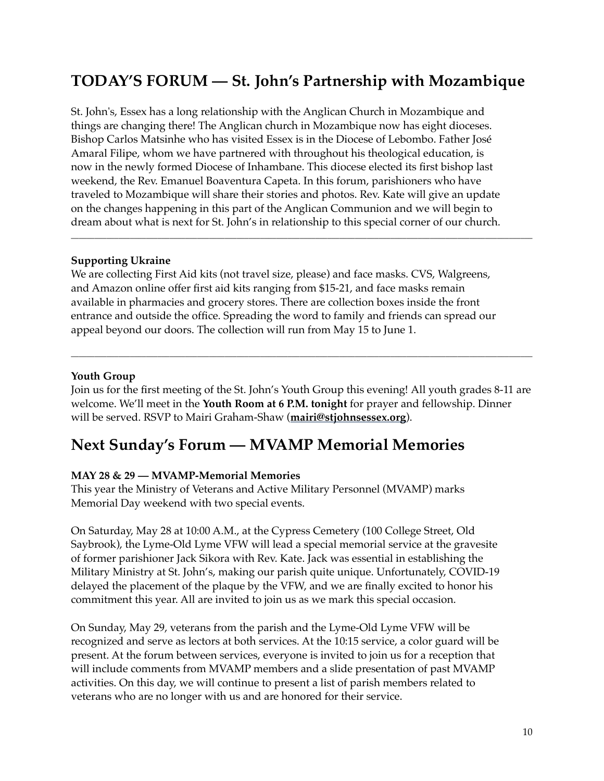## **TODAY'S FORUM — St. John's Partnership with Mozambique**

St. John's, Essex has a long relationship with the Anglican Church in Mozambique and things are changing there! The Anglican church in Mozambique now has eight dioceses. Bishop Carlos Matsinhe who has visited Essex is in the Diocese of Lebombo. Father José Amaral Filipe, whom we have partnered with throughout his theological education, is now in the newly formed Diocese of Inhambane. This diocese elected its first bishop last weekend, the Rev. Emanuel Boaventura Capeta. In this forum, parishioners who have traveled to Mozambique will share their stories and photos. Rev. Kate will give an update on the changes happening in this part of the Anglican Communion and we will begin to dream about what is next for St. John's in relationship to this special corner of our church.

\_\_\_\_\_\_\_\_\_\_\_\_\_\_\_\_\_\_\_\_\_\_\_\_\_\_\_\_\_\_\_\_\_\_\_\_\_\_\_\_\_\_\_\_\_\_\_\_\_\_\_\_\_\_\_\_\_\_\_\_\_\_\_\_\_\_\_\_\_\_\_\_\_\_\_\_\_\_\_\_\_\_\_\_\_\_\_\_\_\_\_\_\_\_\_\_\_\_\_\_\_\_\_\_\_\_\_\_\_\_\_\_\_\_\_\_\_

#### **Supporting Ukraine**

We are collecting First Aid kits (not travel size, please) and face masks. CVS, Walgreens, and Amazon online offer first aid kits ranging from \$15-21, and face masks remain available in pharmacies and grocery stores. There are collection boxes inside the front entrance and outside the office. Spreading the word to family and friends can spread our appeal beyond our doors. The collection will run from May 15 to June 1.

#### **Youth Group**

Join us for the first meeting of the St. John's Youth Group this evening! All youth grades 8-11 are welcome. We'll meet in the **Youth Room at 6 P.M. tonight** for prayer and fellowship. Dinner will be served. RSVP to Mairi Graham-Shaw (**[mairi@stjohnsessex.org](mailto:mairi@stjohnsessex.org)**).

\_\_\_\_\_\_\_\_\_\_\_\_\_\_\_\_\_\_\_\_\_\_\_\_\_\_\_\_\_\_\_\_\_\_\_\_\_\_\_\_\_\_\_\_\_\_\_\_\_\_\_\_\_\_\_\_\_\_\_\_\_\_\_\_\_\_\_\_\_\_\_\_\_\_\_\_\_\_\_\_\_\_\_\_\_\_\_\_\_\_\_\_\_\_\_\_\_\_\_\_\_\_\_\_\_\_\_\_\_\_\_\_\_\_\_\_\_

## **Next Sunday's Forum — MVAMP Memorial Memories**

#### **MAY 28 & 29 — MVAMP-Memorial Memories**

This year the Ministry of Veterans and Active Military Personnel (MVAMP) marks Memorial Day weekend with two special events.

On Saturday, May 28 at 10:00 A.M., at the Cypress Cemetery (100 College Street, Old Saybrook), the Lyme-Old Lyme VFW will lead a special memorial service at the gravesite of former parishioner Jack Sikora with Rev. Kate. Jack was essential in establishing the Military Ministry at St. John's, making our parish quite unique. Unfortunately, COVID-19 delayed the placement of the plaque by the VFW, and we are finally excited to honor his commitment this year. All are invited to join us as we mark this special occasion.

On Sunday, May 29, veterans from the parish and the Lyme-Old Lyme VFW will be recognized and serve as lectors at both services. At the 10:15 service, a color guard will be present. At the forum between services, everyone is invited to join us for a reception that will include comments from MVAMP members and a slide presentation of past MVAMP activities. On this day, we will continue to present a list of parish members related to veterans who are no longer with us and are honored for their service.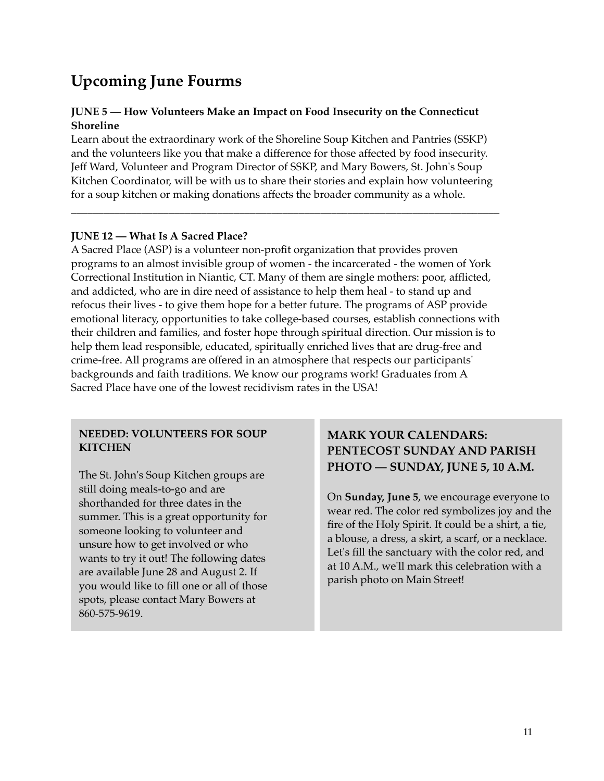## **Upcoming June Fourms**

#### **JUNE 5 — How Volunteers Make an Impact on Food Insecurity on the Connecticut Shoreline**

Learn about the extraordinary work of the Shoreline Soup Kitchen and Pantries (SSKP) and the volunteers like you that make a difference for those affected by food insecurity. Jeff Ward, Volunteer and Program Director of SSKP, and Mary Bowers, St. John's Soup Kitchen Coordinator, will be with us to share their stories and explain how volunteering for a soup kitchen or making donations affects the broader community as a whole.

\_\_\_\_\_\_\_\_\_\_\_\_\_\_\_\_\_\_\_\_\_\_\_\_\_\_\_\_\_\_\_\_\_\_\_\_\_\_\_\_\_\_\_\_\_\_\_\_\_\_\_\_\_\_\_\_\_\_\_\_\_\_\_\_\_\_\_\_\_\_\_\_\_\_\_\_\_\_\_

#### **JUNE 12 — What Is A Sacred Place?**

A Sacred Place (ASP) is a volunteer non-profit organization that provides proven programs to an almost invisible group of women - the incarcerated - the women of York Correctional Institution in Niantic, CT. Many of them are single mothers: poor, afflicted, and addicted, who are in dire need of assistance to help them heal - to stand up and refocus their lives - to give them hope for a better future. The programs of ASP provide emotional literacy, opportunities to take college-based courses, establish connections with their children and families, and foster hope through spiritual direction. Our mission is to help them lead responsible, educated, spiritually enriched lives that are drug-free and crime-free. All programs are offered in an atmosphere that respects our participants' backgrounds and faith traditions. We know our programs work! Graduates from A Sacred Place have one of the lowest recidivism rates in the USA!

#### **NEEDED: VOLUNTEERS FOR SOUP KITCHEN**

The St. John's Soup Kitchen groups are still doing meals-to-go and are shorthanded for three dates in the summer. This is a great opportunity for someone looking to volunteer and unsure how to get involved or who wants to try it out! The following dates are available June 28 and August 2. If you would like to fill one or all of those spots, please contact Mary Bowers at 860-575-9619.

### **MARK YOUR CALENDARS: PENTECOST SUNDAY AND PARISH PHOTO — SUNDAY, JUNE 5, 10 A.M.**

On **Sunday, June 5**, we encourage everyone to wear red. The color red symbolizes joy and the fire of the Holy Spirit. It could be a shirt, a tie, a blouse, a dress, a skirt, a scarf, or a necklace. Let's fill the sanctuary with the color red, and at 10 A.M., we'll mark this celebration with a parish photo on Main Street!